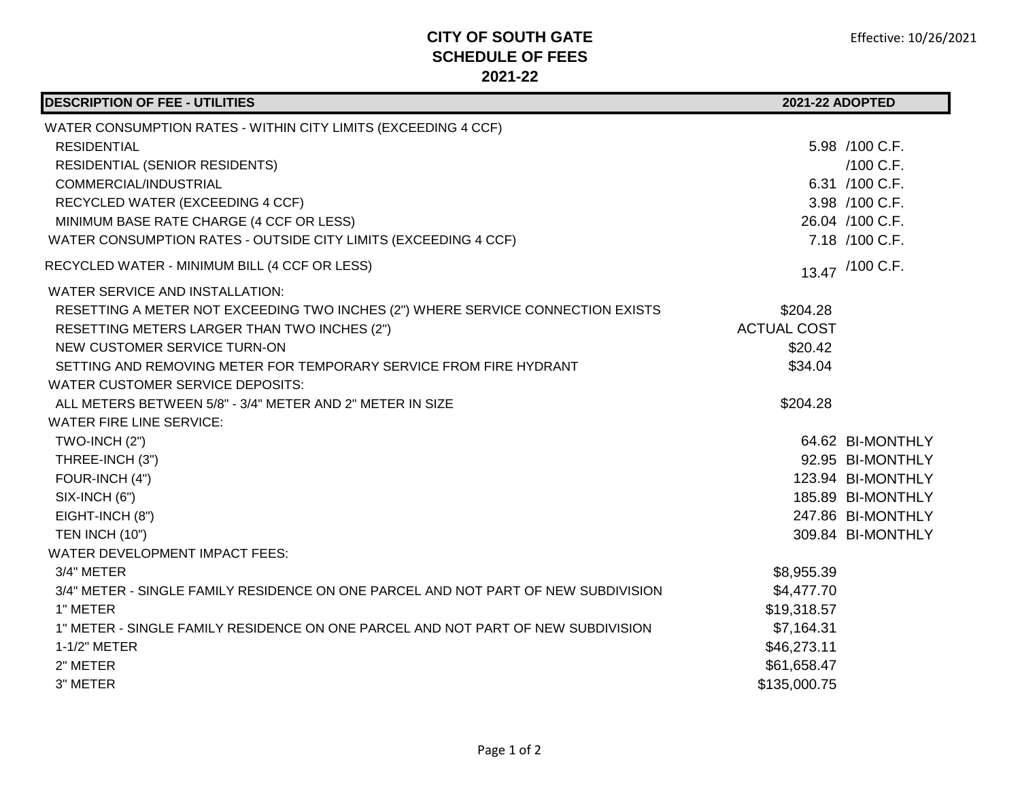## **CITY OF SOUTH GATE SCHEDULE OF FEES 2021-22**

| <b>DESCRIPTION OF FEE - UTILITIES</b>                                              | 2021-22 ADOPTED    |                   |
|------------------------------------------------------------------------------------|--------------------|-------------------|
| WATER CONSUMPTION RATES - WITHIN CITY LIMITS (EXCEEDING 4 CCF)                     |                    |                   |
| <b>RESIDENTIAL</b>                                                                 |                    | 5.98 /100 C.F.    |
| <b>RESIDENTIAL (SENIOR RESIDENTS)</b>                                              |                    | /100 C.F.         |
| COMMERCIAL/INDUSTRIAL                                                              |                    | 6.31 /100 C.F.    |
| RECYCLED WATER (EXCEEDING 4 CCF)                                                   |                    | 3.98 /100 C.F.    |
| MINIMUM BASE RATE CHARGE (4 CCF OR LESS)                                           |                    | 26.04 /100 C.F.   |
| WATER CONSUMPTION RATES - OUTSIDE CITY LIMITS (EXCEEDING 4 CCF)                    |                    | 7.18 /100 C.F.    |
| RECYCLED WATER - MINIMUM BILL (4 CCF OR LESS)                                      |                    | 13.47 /100 C.F.   |
| WATER SERVICE AND INSTALLATION:                                                    |                    |                   |
| RESETTING A METER NOT EXCEEDING TWO INCHES (2") WHERE SERVICE CONNECTION EXISTS    | \$204.28           |                   |
| RESETTING METERS LARGER THAN TWO INCHES (2")                                       | <b>ACTUAL COST</b> |                   |
| NEW CUSTOMER SERVICE TURN-ON                                                       | \$20.42            |                   |
| SETTING AND REMOVING METER FOR TEMPORARY SERVICE FROM FIRE HYDRANT                 | \$34.04            |                   |
| <b>WATER CUSTOMER SERVICE DEPOSITS:</b>                                            |                    |                   |
| ALL METERS BETWEEN 5/8" - 3/4" METER AND 2" METER IN SIZE                          | \$204.28           |                   |
| <b>WATER FIRE LINE SERVICE:</b>                                                    |                    |                   |
| TWO-INCH (2")                                                                      |                    | 64.62 BI-MONTHLY  |
| THREE-INCH (3")                                                                    |                    | 92.95 BI-MONTHLY  |
| FOUR-INCH (4")                                                                     |                    | 123.94 BI-MONTHLY |
| SIX-INCH (6")                                                                      |                    | 185.89 BI-MONTHLY |
| EIGHT-INCH (8")                                                                    |                    | 247.86 BI-MONTHLY |
| <b>TEN INCH (10")</b>                                                              |                    | 309.84 BI-MONTHLY |
| <b>WATER DEVELOPMENT IMPACT FEES:</b>                                              |                    |                   |
| 3/4" METER                                                                         | \$8,955.39         |                   |
| 3/4" METER - SINGLE FAMILY RESIDENCE ON ONE PARCEL AND NOT PART OF NEW SUBDIVISION | \$4,477.70         |                   |
| 1" METER                                                                           | \$19,318.57        |                   |
| 1" METER - SINGLE FAMILY RESIDENCE ON ONE PARCEL AND NOT PART OF NEW SUBDIVISION   | \$7,164.31         |                   |
| 1-1/2" METER                                                                       | \$46,273.11        |                   |
| 2" METER                                                                           | \$61,658.47        |                   |
| 3" METER                                                                           | \$135,000.75       |                   |